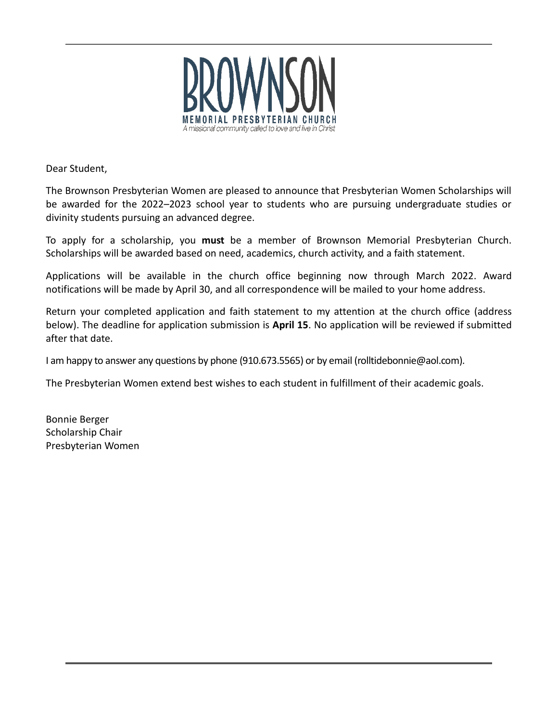

Dear Student,

The Brownson Presbyterian Women are pleased to announce that Presbyterian Women Scholarships will be awarded for the 2022–2023 school year to students who are pursuing undergraduate studies or divinity students pursuing an advanced degree.

To apply for a scholarship, you **must** be a member of Brownson Memorial Presbyterian Church. Scholarships will be awarded based on need, academics, church activity, and a faith statement.

Applications will be available in the church office beginning now through March 2022. Award notifications will be made by April 30, and all correspondence will be mailed to your home address.

Return your completed application and faith statement to my attention at the church office (address below). The deadline for application submission is **April 15**. No application will be reviewed if submitted after that date.

I am happy to answer any questions by phone (910.673.5565) or by email (rolltidebonnie@aol.com).

The Presbyterian Women extend best wishes to each student in fulfillment of their academic goals.

Bonnie Berger Scholarship Chair Presbyterian Women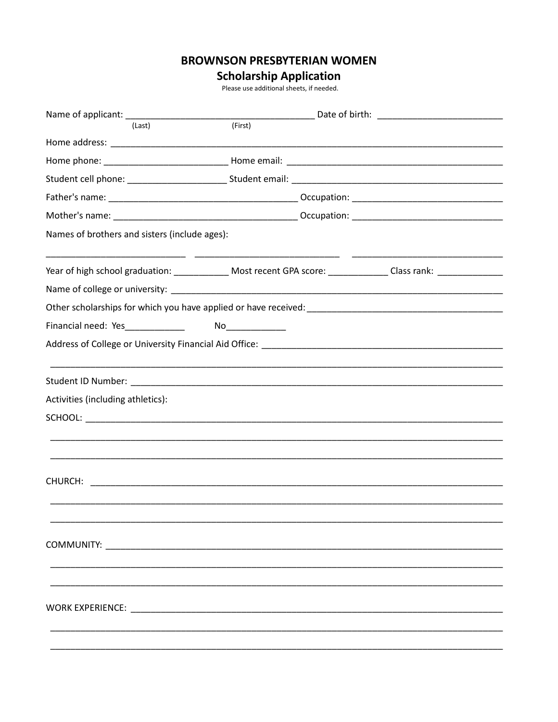## **BROWNSON PRESBYTERIAN WOMEN**

## **Scholarship Application**<br>Please use additional sheets, if needed.

| (Last)                                        | (First)                                                                                                                    |  |
|-----------------------------------------------|----------------------------------------------------------------------------------------------------------------------------|--|
|                                               |                                                                                                                            |  |
|                                               |                                                                                                                            |  |
|                                               |                                                                                                                            |  |
|                                               |                                                                                                                            |  |
|                                               |                                                                                                                            |  |
| Names of brothers and sisters (include ages): |                                                                                                                            |  |
|                                               | Year of high school graduation: _______________ Most recent GPA score: _____________Class rank: ______________             |  |
|                                               |                                                                                                                            |  |
|                                               |                                                                                                                            |  |
|                                               |                                                                                                                            |  |
|                                               | Address of College or University Financial Aid Office: Network and College and College or University Financial Aid Office: |  |
|                                               |                                                                                                                            |  |
| Activities (including athletics):             |                                                                                                                            |  |
|                                               |                                                                                                                            |  |
|                                               |                                                                                                                            |  |
|                                               |                                                                                                                            |  |
|                                               |                                                                                                                            |  |
|                                               |                                                                                                                            |  |
|                                               |                                                                                                                            |  |
| COMMUNITY: COMMUNITY:                         |                                                                                                                            |  |
|                                               |                                                                                                                            |  |
|                                               |                                                                                                                            |  |
|                                               |                                                                                                                            |  |
|                                               |                                                                                                                            |  |
|                                               |                                                                                                                            |  |